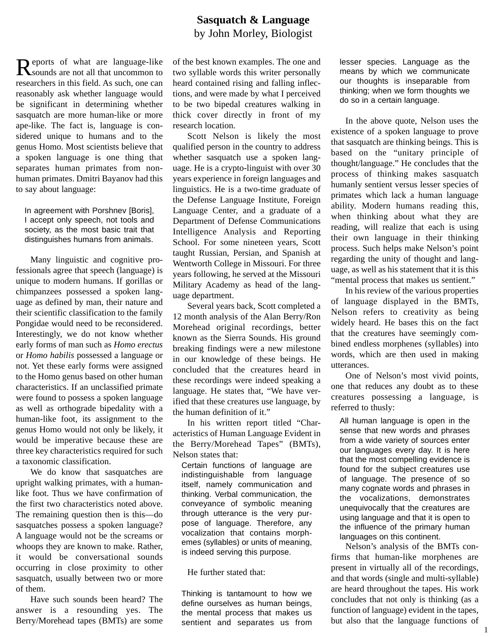## **Sasquatch & Language**  by John Morley, Biologist

R eports of what are language-like sounds are not all that uncommon to researchers in this field. As such, one can reasonably ask whether language would be significant in determining whether sasquatch are more human-like or more ape-like. The fact is, language is considered unique to humans and to the genus Homo. Most scientists believe that a spoken language is one thing that separates human primates from nonhuman primates. Dmitri Bayanov had this to say about language:

In agreement with Porshnev [Boris], I accept only speech, not tools and society, as the most basic trait that distinguishes humans from animals.

Many linguistic and cognitive professionals agree that speech (language) is unique to modern humans. If gorillas or chimpanzees possessed a spoken language as defined by man, their nature and their scientific classification to the family Pongidae would need to be reconsidered. Interestingly, we do not know whether early forms of man such as *Homo erectus* or *Homo habilis* possessed a language or not. Yet these early forms were assigned to the Homo genus based on other human characteristics. If an unclassified primate were found to possess a spoken language as well as orthograde bipedality with a human-like foot, its assignment to the genus Homo would not only be likely, it would be imperative because these are three key characteristics required for such a taxonomic classification.

We do know that sasquatches are upright walking primates, with a humanlike foot. Thus we have confirmation of the first two characteristics noted above. The remaining question then is this—do sasquatches possess a spoken language? A language would not be the screams or whoops they are known to make. Rather, it would be conversational sounds occurring in close proximity to other sasquatch, usually between two or more of them.

Have such sounds been heard? The answer is a resounding yes. The Berry/Morehead tapes (BMTs) are some of the best known examples. The one and two syllable words this writer personally heard contained rising and falling inflections, and were made by what I perceived to be two bipedal creatures walking in thick cover directly in front of my research location.

Scott Nelson is likely the most qualified person in the country to address whether sasquatch use a spoken language. He is a crypto-linguist with over 30 years experience in foreign languages and linguistics. He is a two-time graduate of the Defense Language Institute, Foreign Language Center, and a graduate of a Department of Defense Communications Intelligence Analysis and Reporting School. For some nineteen years, Scott taught Russian, Persian, and Spanish at Wentworth College in Missouri. For three years following, he served at the Missouri Military Academy as head of the language department.

Several years back, Scott completed a 12 month analysis of the Alan Berry/Ron Morehead original recordings, better known as the Sierra Sounds. His ground breaking findings were a new milestone in our knowledge of these beings. He concluded that the creatures heard in these recordings were indeed speaking a language. He states that, "We have verified that these creatures use language, by the human definition of it."

In his written report titled "Characteristics of Human Language Evident in the Berry/Morehead Tapes" (BMTs), Nelson states that:

Certain functions of language are indistinguishable from language itself, namely communication and thinking. Verbal communication, the conveyance of symbolic meaning through utterance is the very purpose of language. Therefore, any vocalization that contains morphemes (syllables) or units of meaning, is indeed serving this purpose.

He further stated that:

Thinking is tantamount to how we define ourselves as human beings, the mental process that makes us sentient and separates us from lesser species. Language as the means by which we communicate our thoughts is inseparable from thinking; when we form thoughts we do so in a certain language.

In the above quote, Nelson uses the existence of a spoken language to prove that sasquatch are thinking beings. This is based on the "unitary principle of thought/language." He concludes that the process of thinking makes sasquatch humanly sentient versus lesser species of primates which lack a human language ability. Modern humans reading this, when thinking about what they are reading, will realize that each is using their own language in their thinking process. Such helps make Nelson's point regarding the unity of thought and language, as well as his statement that it is this "mental process that makes us sentient."

In his review of the various properties of language displayed in the BMTs, Nelson refers to creativity as being widely heard. He bases this on the fact that the creatures have seemingly combined endless morphenes (syllables) into words, which are then used in making utterances.

One of Nelson's most vivid points, one that reduces any doubt as to these creatures possessing a language, is referred to thusly:

All human language is open in the sense that new words and phrases from a wide variety of sources enter our languages every day. It is here that the most compelling evidence is found for the subject creatures use of language. The presence of so many cognate words and phrases in the vocalizations, demonstrates unequivocally that the creatures are using language and that it is open to the influence of the primary human languages on this continent.

Nelson's analysis of the BMTs confirms that human-like morphenes are present in virtually all of the recordings, and that words (single and multi-syllable) are heard throughout the tapes. His work concludes that not only is thinking (as a function of language) evident in the tapes, but also that the language functions of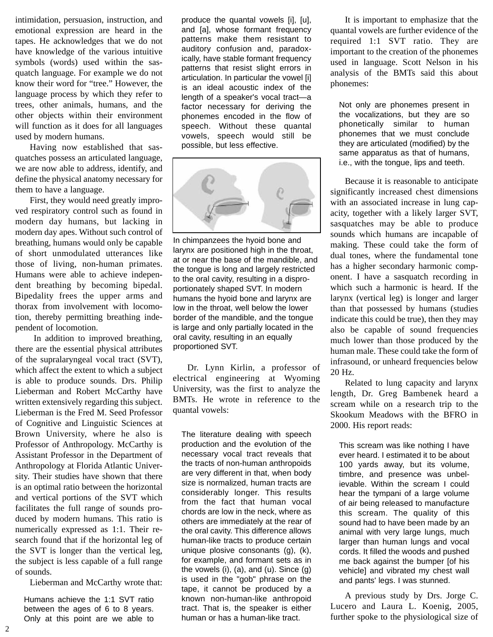intimidation, persuasion, instruction, and emotional expression are heard in the tapes. He acknowledges that we do not have knowledge of the various intuitive symbols (words) used within the sasquatch language. For example we do not know their word for "tree." However, the language process by which they refer to trees, other animals, humans, and the other objects within their environment will function as it does for all languages used by modern humans.

Having now established that sasquatches possess an articulated language, we are now able to address, identify, and define the physical anatomy necessary for them to have a language.

First, they would need greatly improved respiratory control such as found in modern day humans, but lacking in modern day apes. Without such control of breathing, humans would only be capable of short unmodulated utterances like those of living, non-human primates. Humans were able to achieve independent breathing by becoming bipedal. Bipedality frees the upper arms and thorax from involvement with locomotion, thereby permitting breathing independent of locomotion.

In addition to improved breathing, there are the essential physical attributes of the supralaryngeal vocal tract (SVT), which affect the extent to which a subject is able to produce sounds. Drs. Philip Lieberman and Robert McCarthy have written extensively regarding this subject. Lieberman is the Fred M. Seed Professor of Cognitive and Linguistic Sciences at Brown University, where he also is Professor of Anthropology. McCarthy is Assistant Professor in the Department of Anthropology at Florida Atlantic University. Their studies have shown that there is an optimal ratio between the horizontal and vertical portions of the SVT which facilitates the full range of sounds produced by modern humans. This ratio is numerically expressed as 1:1. Their research found that if the horizontal leg of the SVT is longer than the vertical leg, the subject is less capable of a full range of sounds.

Lieberman and McCarthy wrote that:

Humans achieve the 1:1 SVT ratio between the ages of 6 to 8 years. Only at this point are we able to

produce the quantal vowels [i], [u], and [a], whose formant frequency patterns make them resistant to auditory confusion and, paradoxically, have stable formant frequency patterns that resist slight errors in articulation. In particular the vowel [i] is an ideal acoustic index of the length of a speaker's vocal tract—a factor necessary for deriving the phonemes encoded in the flow of speech. Without these quantal vowels, speech would still be possible, but less effective.



In chimpanzees the hyoid bone and larynx are positioned high in the throat, at or near the base of the mandible, and the tongue is long and largely restricted to the oral cavity, resulting in a disproportionately shaped SVT. In modern humans the hyoid bone and larynx are low in the throat, well below the lower border of the mandible, and the tongue is large and only partially located in the oral cavity, resulting in an equally proportioned SVT.

Dr. Lynn Kirlin, a professor of electrical engineering at Wyoming University, was the first to analyze the BMTs. He wrote in reference to the quantal vowels:

The literature dealing with speech production and the evolution of the necessary vocal tract reveals that the tracts of non-human anthropoids are very different in that, when body size is normalized, human tracts are considerably longer. This results from the fact that human vocal chords are low in the neck, where as others are immediately at the rear of the oral cavity. This difference allows human-like tracts to produce certain unique plosive consonants (g), (k), for example, and formant sets as in the vowels (i), (a), and (u). Since (g) is used in the "gob" phrase on the tape, it cannot be produced by a known non-human-like anthropoid tract. That is, the speaker is either human or has a human-like tract.

It is important to emphasize that the quantal vowels are further evidence of the required 1:1 SVT ratio. They are important to the creation of the phonemes used in language. Scott Nelson in his analysis of the BMTs said this about phonemes:

Not only are phonemes present in the vocalizations, but they are so phonetically similar to human phonemes that we must conclude they are articulated (modified) by the same apparatus as that of humans, i.e., with the tongue, lips and teeth.

Because it is reasonable to anticipate significantly increased chest dimensions with an associated increase in lung capacity, together with a likely larger SVT, sasquatches may be able to produce sounds which humans are incapable of making. These could take the form of dual tones, where the fundamental tone has a higher secondary harmonic component. I have a sasquatch recording in which such a harmonic is heard. If the larynx (vertical leg) is longer and larger than that possessed by humans (studies indicate this could be true), then they may also be capable of sound frequencies much lower than those produced by the human male. These could take the form of infrasound, or unheard frequencies below 20 Hz.

Related to lung capacity and larynx length, Dr. Greg Bambenek heard a scream while on a research trip to the Skookum Meadows with the BFRO in 2000. His report reads:

This scream was like nothing I have ever heard. I estimated it to be about 100 yards away, but its volume, timbre, and presence was unbelievable. Within the scream I could hear the tympani of a large volume of air being released to manufacture this scream. The quality of this sound had to have been made by an animal with very large lungs, much larger than human lungs and vocal cords. It filled the woods and pushed me back against the bumper [of his vehicle] and vibrated my chest wall and pants' legs. I was stunned.

A previous study by Drs. Jorge C. Lucero and Laura L. Koenig, 2005, further spoke to the physiological size of